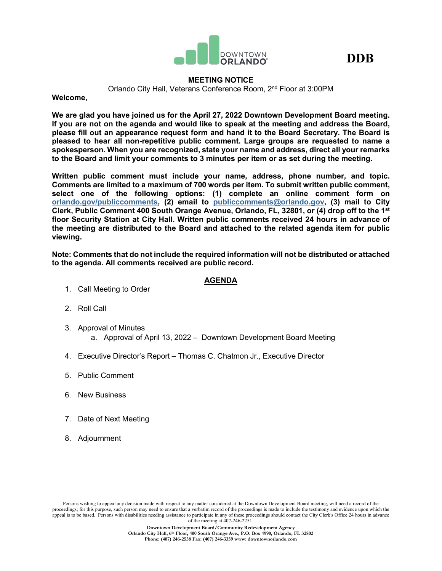



# **MEETING NOTICE**

Orlando City Hall, Veterans Conference Room, 2nd Floor at 3:00PM

**Welcome,**

**We are glad you have joined us for the April 27, 2022 Downtown Development Board meeting. If you are not on the agenda and would like to speak at the meeting and address the Board, please fill out an appearance request form and hand it to the Board Secretary. The Board is pleased to hear all non-repetitive public comment. Large groups are requested to name a spokesperson. When you are recognized, state your name and address, direct all your remarks to the Board and limit your comments to 3 minutes per item or as set during the meeting.**

**Written public comment must include your name, address, phone number, and topic. Comments are limited to a maximum of 700 words per item. To submit written public comment, select one of the following options: (1) complete an online comment form on [orlando.gov/publiccomments,](http://www.orlando.gov/publiccomments) (2) email to [publiccomments@orlando.gov,](mailto:publiccomments@orlando.gov) (3) mail to City Clerk, Public Comment 400 South Orange Avenue, Orlando, FL, 32801, or (4) drop off to the 1st floor Security Station at City Hall. Written public comments received 24 hours in advance of the meeting are distributed to the Board and attached to the related agenda item for public viewing.** 

**Note: Comments that do not include the required information will not be distributed or attached to the agenda. All comments received are public record.**

# **AGENDA**

- 1. Call Meeting to Order
- 2. Roll Call
- 3. Approval of Minutes a. Approval of April 13, 2022 – Downtown Development Board Meeting
- 4. Executive Director's Report Thomas C. Chatmon Jr., Executive Director
- 5. Public Comment
- 6. New Business
- 7. Date of Next Meeting
- 8. Adjournment

Persons wishing to appeal any decision made with respect to any matter considered at the Downtown Development Board meeting, will need a record of the proceedings; for this purpose, such person may need to ensure that a verbatim record of the proceedings is made to include the testimony and evidence upon which the appeal is to be based. Persons with disabilities needing assistance to participate in any of these proceedings should contact the City Clerk's Office 24 hours in advance of the meeting at 407-246-2251.